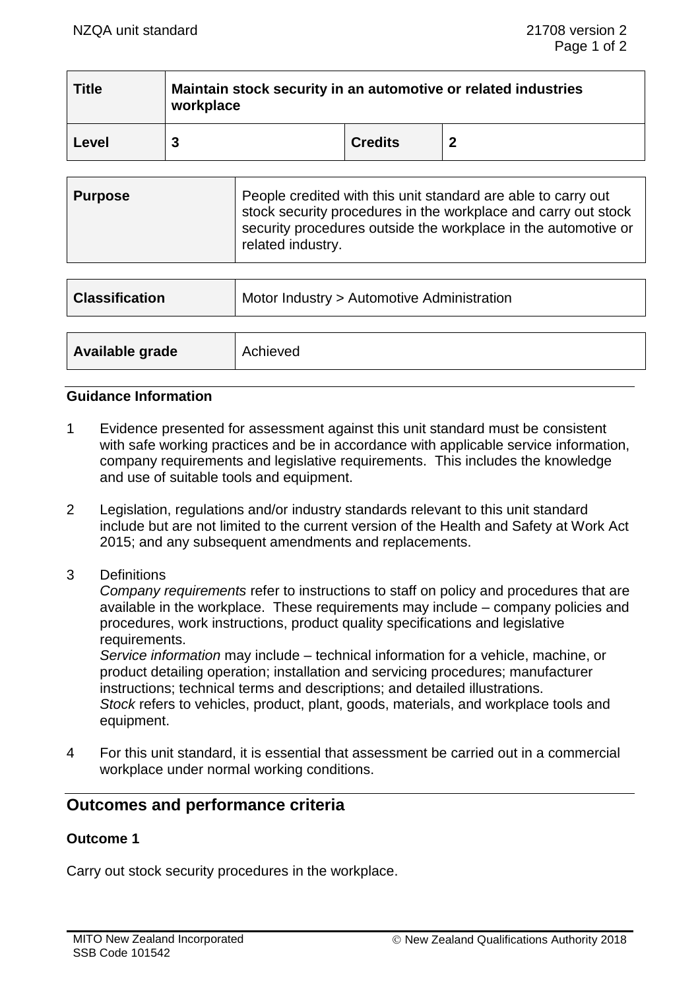| <b>Title</b> | Maintain stock security in an automotive or related industries<br>workplace |                |   |
|--------------|-----------------------------------------------------------------------------|----------------|---|
| Level        |                                                                             | <b>Credits</b> | 2 |

| <b>Purpose</b> | People credited with this unit standard are able to carry out<br>stock security procedures in the workplace and carry out stock<br>security procedures outside the workplace in the automotive or<br>related industry. |
|----------------|------------------------------------------------------------------------------------------------------------------------------------------------------------------------------------------------------------------------|
|----------------|------------------------------------------------------------------------------------------------------------------------------------------------------------------------------------------------------------------------|

| <b>Classification</b> | Motor Industry > Automotive Administration |  |
|-----------------------|--------------------------------------------|--|
|                       |                                            |  |
| Available grade       | Achieved                                   |  |

## **Guidance Information**

- 1 Evidence presented for assessment against this unit standard must be consistent with safe working practices and be in accordance with applicable service information, company requirements and legislative requirements. This includes the knowledge and use of suitable tools and equipment.
- 2 Legislation, regulations and/or industry standards relevant to this unit standard include but are not limited to the current version of the Health and Safety at Work Act 2015; and any subsequent amendments and replacements.
- 3 Definitions

*Company requirements* refer to instructions to staff on policy and procedures that are available in the workplace. These requirements may include – company policies and procedures, work instructions, product quality specifications and legislative requirements.

*Service information* may include – technical information for a vehicle, machine, or product detailing operation; installation and servicing procedures; manufacturer instructions; technical terms and descriptions; and detailed illustrations. *Stock* refers to vehicles, product, plant, goods, materials, and workplace tools and equipment.

4 For this unit standard, it is essential that assessment be carried out in a commercial workplace under normal working conditions.

# **Outcomes and performance criteria**

# **Outcome 1**

Carry out stock security procedures in the workplace.